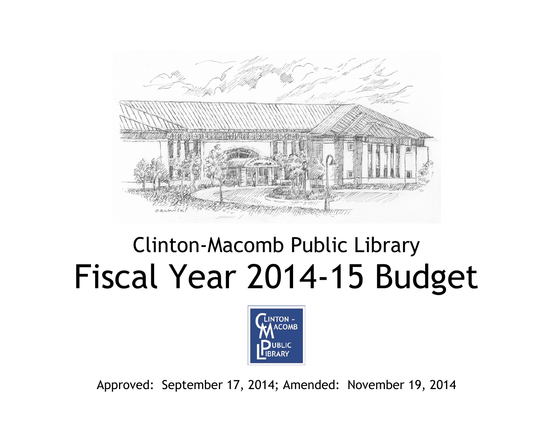

# Clinton-Macomb Public Library Fiscal Year 2014-15 Budget



Approved: September 17, 2014; Amended: November 19, 2014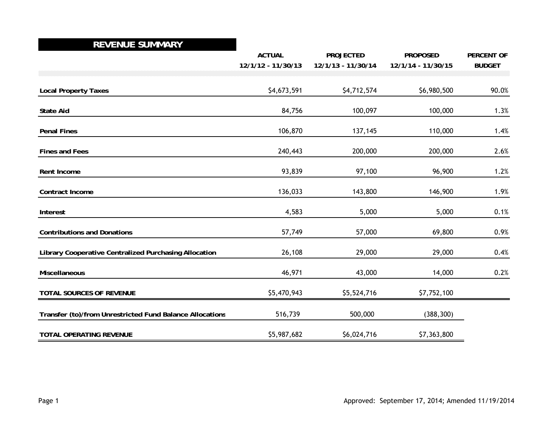#### **REVENUE SUMMARY2007-08**

|                                                          | <b>ACTUAL</b>      | <b>PROJECTED</b>   | <b>PROPOSED</b>    | <b>PERCENT OF</b> |
|----------------------------------------------------------|--------------------|--------------------|--------------------|-------------------|
|                                                          | 12/1/12 - 11/30/13 | 12/1/13 - 11/30/14 | 12/1/14 - 11/30/15 | <b>BUDGET</b>     |
|                                                          |                    |                    |                    |                   |
| <b>Local Property Taxes</b>                              | \$4,673,591        | \$4,712,574        | \$6,980,500        | 90.0%             |
| <b>State Aid</b>                                         | 84,756             | 100,097            | 100,000            | 1.3%              |
| <b>Penal Fines</b>                                       | 106,870            | 137,145            | 110,000            | 1.4%              |
| <b>Fines and Fees</b>                                    | 240,443            | 200,000            | 200,000            | 2.6%              |
| Rent Income                                              | 93,839             | 97,100             | 96,900             | 1.2%              |
| Contract Income                                          | 136,033            | 143,800            | 146,900            | 1.9%              |
| Interest                                                 | 4,583              | 5,000              | 5,000              | 0.1%              |
| <b>Contributions and Donations</b>                       | 57,749             | 57,000             | 69,800             | 0.9%              |
| Library Cooperative Centralized Purchasing Allocation    | 26,108             | 29,000             | 29,000             | 0.4%              |
| <b>Miscellaneous</b>                                     | 46,971             | 43,000             | 14,000             | 0.2%              |
| TOTAL SOURCES OF REVENUE                                 | \$5,470,943        | \$5,524,716        | \$7,752,100        |                   |
| Transfer (to)/from Unrestricted Fund Balance Allocations | 516,739            | 500,000            | (388, 300)         |                   |
| <b>TOTAL OPERATING REVENUE</b>                           | \$5,987,682        | \$6,024,716        | \$7,363,800        |                   |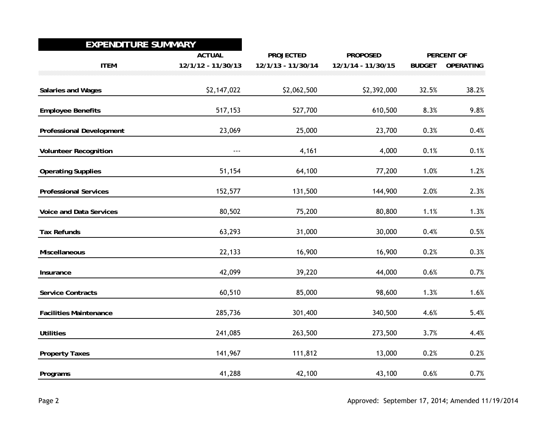## **EXPENDITURE SUMMARY 2007-08**

|                                 | <b>ACTUAL</b>      | <b>PROJECTED</b>   | <b>PROPOSED</b>    |               | <b>PERCENT OF</b> |
|---------------------------------|--------------------|--------------------|--------------------|---------------|-------------------|
| <b>ITEM</b>                     | 12/1/12 - 11/30/13 | 12/1/13 - 11/30/14 | 12/1/14 - 11/30/15 | <b>BUDGET</b> | <b>OPERATING</b>  |
| Salaries and Wages              | \$2,147,022        | \$2,062,500        | \$2,392,000        | 32.5%         | 38.2%             |
| <b>Employee Benefits</b>        | 517,153            | 527,700            | 610,500            | 8.3%          | 9.8%              |
| <b>Professional Development</b> | 23,069             | 25,000             | 23,700             | 0.3%          | 0.4%              |
| <b>Volunteer Recognition</b>    | $- - -$            | 4,161              | 4,000              | 0.1%          | 0.1%              |
| <b>Operating Supplies</b>       | 51,154             | 64,100             | 77,200             | 1.0%          | 1.2%              |
| <b>Professional Services</b>    | 152,577            | 131,500            | 144,900            | 2.0%          | 2.3%              |
| <b>Voice and Data Services</b>  | 80,502             | 75,200             | 80,800             | 1.1%          | 1.3%              |
| <b>Tax Refunds</b>              | 63,293             | 31,000             | 30,000             | 0.4%          | $0.5\%$           |
| Miscellaneous                   | 22,133             | 16,900             | 16,900             | 0.2%          | 0.3%              |
| Insurance                       | 42,099             | 39,220             | 44,000             | $0.6\%$       | 0.7%              |
| <b>Service Contracts</b>        | 60,510             | 85,000             | 98,600             | 1.3%          | 1.6%              |
| <b>Facilities Maintenance</b>   | 285,736            | 301,400            | 340,500            | 4.6%          | 5.4%              |
| <b>Utilities</b>                | 241,085            | 263,500            | 273,500            | 3.7%          | 4.4%              |
| <b>Property Taxes</b>           | 141,967            | 111,812            | 13,000             | 0.2%          | 0.2%              |
| Programs                        | 41,288             | 42,100             | 43,100             | 0.6%          | 0.7%              |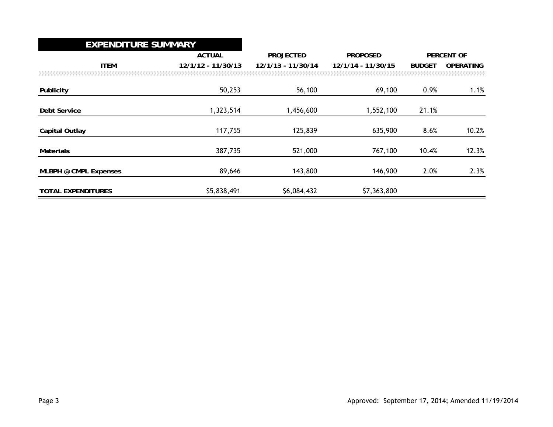#### **EXPENDITURE SUMMARY2007-08**

|                           | <b>ACTUAL</b>      | <b>PROJECTED</b>   | <b>PROPOSED</b>    |               | <b>PERCENT OF</b> |
|---------------------------|--------------------|--------------------|--------------------|---------------|-------------------|
| <b>ITEM</b>               | 12/1/12 - 11/30/13 | 12/1/13 - 11/30/14 | 12/1/14 - 11/30/15 | <b>BUDGET</b> | <b>OPERATING</b>  |
|                           |                    |                    |                    |               |                   |
| Publicity                 | 50,253             | 56,100             | 69,100             | 0.9%          | 1.1%              |
| <b>Debt Service</b>       | 1,323,514          | 1,456,600          | 1,552,100          | 21.1%         |                   |
| Capital Outlay            | 117,755            | 125,839            | 635,900            | 8.6%          | 10.2%             |
| <b>Materials</b>          | 387,735            | 521,000            | 767,100            | 10.4%         | 12.3%             |
| MLBPH @ CMPL Expenses     | 89,646             | 143,800            | 146,900            | 2.0%          | 2.3%              |
| <b>TOTAL EXPENDITURES</b> | \$5,838,491        | \$6,084,432        | \$7,363,800        |               |                   |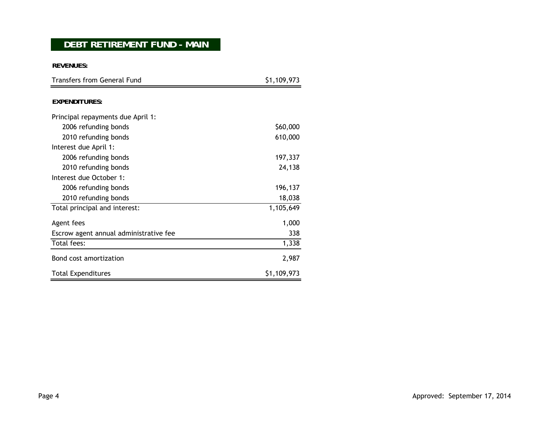## **DEBT RETIREMENT FUND - MAIN**

**REVENUES:**

| <b>Transfers from General Fund</b>     | \$1,109,973 |  |  |
|----------------------------------------|-------------|--|--|
|                                        |             |  |  |
| <b>EXPENDITURES:</b>                   |             |  |  |
| Principal repayments due April 1:      |             |  |  |
| 2006 refunding bonds                   | \$60,000    |  |  |
| 2010 refunding bonds                   | 610,000     |  |  |
| Interest due April 1:                  |             |  |  |
| 2006 refunding bonds                   | 197,337     |  |  |
| 2010 refunding bonds                   | 24,138      |  |  |
| Interest due October 1:                |             |  |  |
| 2006 refunding bonds                   | 196,137     |  |  |
| 2010 refunding bonds                   | 18,038      |  |  |
| Total principal and interest:          | 1,105,649   |  |  |
| Agent fees                             | 1,000       |  |  |
| Escrow agent annual administrative fee | 338         |  |  |
| Total fees:                            | 1,338       |  |  |
| Bond cost amortization                 | 2,987       |  |  |
| <b>Total Expenditures</b>              | \$1,109,973 |  |  |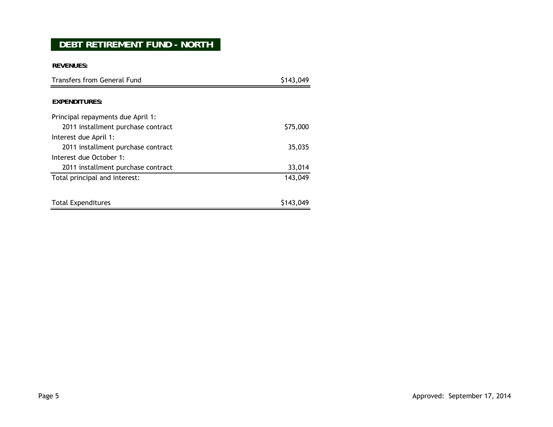# **DEBT RETIREMENT FUND - NORTH**

**REVENUES:**

| Transfers from General Fund        | \$143,049 |  |
|------------------------------------|-----------|--|
|                                    |           |  |
| <b>EXPENDITURES:</b>               |           |  |
| Principal repayments due April 1:  |           |  |
| 2011 installment purchase contract | \$75,000  |  |
| Interest due April 1:              |           |  |
| 2011 installment purchase contract | 35,035    |  |
| Interest due October 1:            |           |  |
| 2011 installment purchase contract | 33,014    |  |
| Total principal and interest:      | 143,049   |  |
|                                    |           |  |
| <b>Total Expenditures</b>          | \$143,049 |  |